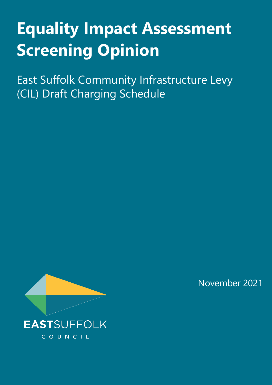# **Equality Impact Assessment Screening Opinion**

East Suffolk Community Infrastructure Levy (CIL) Draft Charging Schedule



November 2021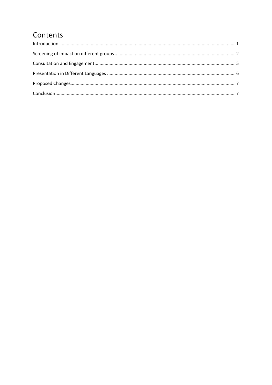# Contents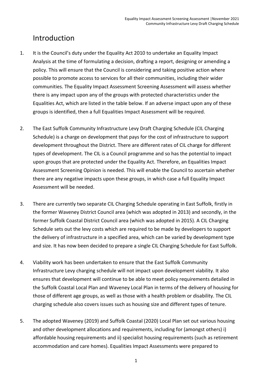#### <span id="page-2-0"></span>Introduction

- 1. It is the Council's duty under the Equality Act 2010 to undertake an Equality Impact Analysis at the time of formulating a decision, drafting a report, designing or amending a policy. This will ensure that the Council is considering and taking positive action where possible to promote access to services for all their communities, including their wider communities. The Equality Impact Assessment Screening Assessment will assess whether there is any impact upon any of the groups with protected characteristics under the Equalities Act, which are listed in the table below. If an adverse impact upon any of these groups is identified, then a full Equalities Impact Assessment will be required.
- 2. The East Suffolk Community Infrastructure Levy Draft Charging Schedule (CIL Charging Schedule) is a charge on development that pays for the cost of infrastructure to support development throughout the District. There are different rates of CIL charge for different types of development. The CIL is a Council programme and so has the potential to impact upon groups that are protected under the Equality Act. Therefore, an Equalities Impact Assessment Screening Opinion is needed. This will enable the Council to ascertain whether there are any negative impacts upon these groups, in which case a full Equality Impact Assessment will be needed.
- 3. There are currently two separate CIL Charging Schedule operating in East Suffolk, firstly in the former Waveney District Council area (which was adopted in 2013) and secondly, in the former Suffolk Coastal District Council area (which was adopted in 2015). A CIL Charging Schedule sets out the levy costs which are required to be made by developers to support the delivery of infrastructure in a specified area, which can be varied by development type and size. It has now been decided to prepare a single CIL Charging Schedule for East Suffolk.
- 4. Viability work has been undertaken to ensure that the East Suffolk Community Infrastructure Levy charging schedule will not impact upon development viability. It also ensures that development will continue to be able to meet policy requirements detailed in the Suffolk Coastal Local Plan and Waveney Local Plan in terms of the delivery of housing for those of different age groups, as well as those with a health problem or disability. The CIL charging schedule also covers issues such as housing size and different types of tenure.
- 5. The adopted Waveney (2019) and Suffolk Coastal (2020) Local Plan set out various housing and other development allocations and requirements, including for (amongst others) i) affordable housing requirements and ii) specialist housing requirements (such as retirement accommodation and care homes). Equalities Impact Assessments were prepared to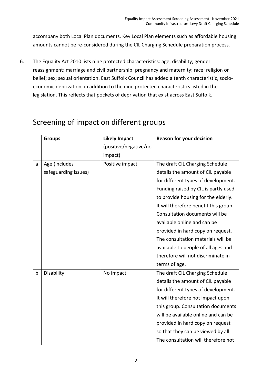accompany both Local Plan documents. Key Local Plan elements such as affordable housing amounts cannot be re-considered during the CIL Charging Schedule preparation process.

6. The Equality Act 2010 lists nine protected characteristics: age; disability; gender reassignment; marriage and civil partnership; pregnancy and maternity; race; religion or belief; sex; sexual orientation. East Suffolk Council has added a tenth characteristic, socioeconomic deprivation, in addition to the nine protected characteristics listed in the legislation. This reflects that pockets of deprivation that exist across East Suffolk.

|   | <b>Groups</b>        | <b>Likely Impact</b>  | <b>Reason for your decision</b>       |
|---|----------------------|-----------------------|---------------------------------------|
|   |                      | (positive/negative/no |                                       |
|   |                      | impact)               |                                       |
| a | Age (includes        | Positive impact       | The draft CIL Charging Schedule       |
|   | safeguarding issues) |                       | details the amount of CIL payable     |
|   |                      |                       | for different types of development.   |
|   |                      |                       | Funding raised by CIL is partly used  |
|   |                      |                       | to provide housing for the elderly.   |
|   |                      |                       | It will therefore benefit this group. |
|   |                      |                       | Consultation documents will be        |
|   |                      |                       | available online and can be           |
|   |                      |                       | provided in hard copy on request.     |
|   |                      |                       | The consultation materials will be    |
|   |                      |                       | available to people of all ages and   |
|   |                      |                       | therefore will not discriminate in    |
|   |                      |                       | terms of age.                         |
| b | Disability           | No impact             | The draft CIL Charging Schedule       |
|   |                      |                       | details the amount of CIL payable     |
|   |                      |                       | for different types of development.   |
|   |                      |                       | It will therefore not impact upon     |
|   |                      |                       | this group. Consultation documents    |
|   |                      |                       | will be available online and can be   |
|   |                      |                       | provided in hard copy on request      |
|   |                      |                       | so that they can be viewed by all.    |
|   |                      |                       | The consultation will therefore not   |

## <span id="page-3-0"></span>Screening of impact on different groups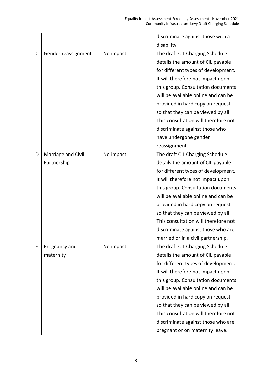|   |                     |           | discriminate against those with a    |
|---|---------------------|-----------|--------------------------------------|
|   |                     |           | disability.                          |
| C | Gender reassignment | No impact | The draft CIL Charging Schedule      |
|   |                     |           | details the amount of CIL payable    |
|   |                     |           | for different types of development.  |
|   |                     |           | It will therefore not impact upon    |
|   |                     |           | this group. Consultation documents   |
|   |                     |           | will be available online and can be  |
|   |                     |           | provided in hard copy on request     |
|   |                     |           | so that they can be viewed by all.   |
|   |                     |           | This consultation will therefore not |
|   |                     |           | discriminate against those who       |
|   |                     |           | have undergone gender                |
|   |                     |           | reassignment.                        |
| D | Marriage and Civil  | No impact | The draft CIL Charging Schedule      |
|   | Partnership         |           | details the amount of CIL payable    |
|   |                     |           | for different types of development.  |
|   |                     |           | It will therefore not impact upon    |
|   |                     |           | this group. Consultation documents   |
|   |                     |           | will be available online and can be  |
|   |                     |           | provided in hard copy on request     |
|   |                     |           | so that they can be viewed by all.   |
|   |                     |           | This consultation will therefore not |
|   |                     |           | discriminate against those who are   |
|   |                     |           | married or in a civil partnership.   |
| E | Pregnancy and       | No impact | The draft CIL Charging Schedule      |
|   | maternity           |           | details the amount of CIL payable    |
|   |                     |           | for different types of development.  |
|   |                     |           | It will therefore not impact upon    |
|   |                     |           | this group. Consultation documents   |
|   |                     |           | will be available online and can be  |
|   |                     |           | provided in hard copy on request     |
|   |                     |           | so that they can be viewed by all.   |
|   |                     |           | This consultation will therefore not |
|   |                     |           | discriminate against those who are   |
|   |                     |           | pregnant or on maternity leave.      |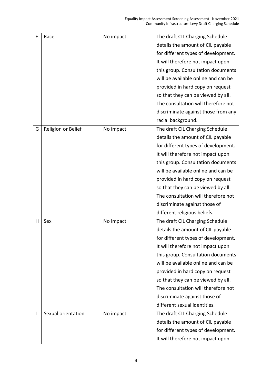| F | Race               | No impact | The draft CIL Charging Schedule     |
|---|--------------------|-----------|-------------------------------------|
|   |                    |           | details the amount of CIL payable   |
|   |                    |           | for different types of development. |
|   |                    |           | It will therefore not impact upon   |
|   |                    |           | this group. Consultation documents  |
|   |                    |           | will be available online and can be |
|   |                    |           | provided in hard copy on request    |
|   |                    |           | so that they can be viewed by all.  |
|   |                    |           | The consultation will therefore not |
|   |                    |           | discriminate against those from any |
|   |                    |           | racial background.                  |
| G | Religion or Belief | No impact | The draft CIL Charging Schedule     |
|   |                    |           | details the amount of CIL payable   |
|   |                    |           | for different types of development. |
|   |                    |           | It will therefore not impact upon   |
|   |                    |           | this group. Consultation documents  |
|   |                    |           | will be available online and can be |
|   |                    |           | provided in hard copy on request    |
|   |                    |           | so that they can be viewed by all.  |
|   |                    |           | The consultation will therefore not |
|   |                    |           | discriminate against those of       |
|   |                    |           | different religious beliefs.        |
| н | Sex                | No impact | The draft CIL Charging Schedule     |
|   |                    |           | details the amount of CIL payable   |
|   |                    |           | for different types of development. |
|   |                    |           | It will therefore not impact upon   |
|   |                    |           | this group. Consultation documents  |
|   |                    |           | will be available online and can be |
|   |                    |           | provided in hard copy on request    |
|   |                    |           | so that they can be viewed by all.  |
|   |                    |           | The consultation will therefore not |
|   |                    |           | discriminate against those of       |
|   |                    |           | different sexual identities.        |
| I | Sexual orientation | No impact | The draft CIL Charging Schedule     |
|   |                    |           | details the amount of CIL payable   |
|   |                    |           | for different types of development. |
|   |                    |           | It will therefore not impact upon   |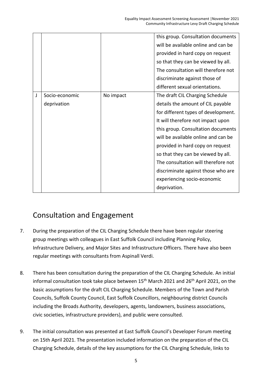|   |                               |           | this group. Consultation documents<br>will be available online and can be<br>provided in hard copy on request<br>so that they can be viewed by all.<br>The consultation will therefore not<br>discriminate against those of<br>different sexual orientations.                                                                                                                                                                       |
|---|-------------------------------|-----------|-------------------------------------------------------------------------------------------------------------------------------------------------------------------------------------------------------------------------------------------------------------------------------------------------------------------------------------------------------------------------------------------------------------------------------------|
| J | Socio-economic<br>deprivation | No impact | The draft CIL Charging Schedule<br>details the amount of CIL payable<br>for different types of development.<br>It will therefore not impact upon<br>this group. Consultation documents<br>will be available online and can be<br>provided in hard copy on request<br>so that they can be viewed by all.<br>The consultation will therefore not<br>discriminate against those who are<br>experiencing socio-economic<br>deprivation. |

#### <span id="page-6-0"></span>Consultation and Engagement

- 7. During the preparation of the CIL Charging Schedule there have been regular steering group meetings with colleagues in East Suffolk Council including Planning Policy, Infrastructure Delivery, and Major Sites and Infrastructure Officers. There have also been regular meetings with consultants from Aspinall Verdi.
- 8. There has been consultation during the preparation of the CIL Charging Schedule. An initial informal consultation took take place between 15<sup>th</sup> March 2021 and 26<sup>th</sup> April 2021, on the basic assumptions for the draft CIL Charging Schedule. Members of the Town and Parish Councils, Suffolk County Council, East Suffolk Councillors, neighbouring district Councils including the Broads Authority, developers, agents, landowners, business associations, civic societies, infrastructure providers), and public were consulted.
- 9. The initial consultation was presented at East Suffolk Council's Developer Forum meeting on 15th April 2021. The presentation included information on the preparation of the CIL Charging Schedule, details of the key assumptions for the CIL Charging Schedule, links to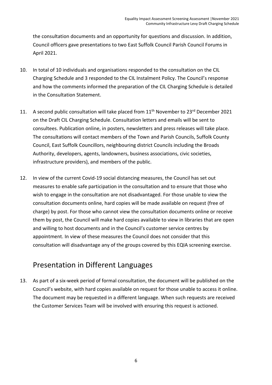the consultation documents and an opportunity for questions and discussion. In addition, Council officers gave presentations to two East Suffolk Council Parish Council Forums in April 2021.

- 10. In total of 10 individuals and organisations responded to the consultation on the CIL Charging Schedule and 3 responded to the CIL Instalment Policy. The Council's response and how the comments informed the preparation of the CIL Charging Schedule is detailed in the Consultation Statement.
- 11. A second public consultation will take placed from 11<sup>th</sup> November to 23<sup>rd</sup> December 2021 on the Draft CIL Charging Schedule. Consultation letters and emails will be sent to consultees. Publication online, in posters, newsletters and press releases will take place. The consultations will contact members of the Town and Parish Councils, Suffolk County Council, East Suffolk Councillors, neighbouring district Councils including the Broads Authority, developers, agents, landowners, business associations, civic societies, infrastructure providers), and members of the public.
- 12. In view of the current Covid-19 social distancing measures, the Council has set out measures to enable safe participation in the consultation and to ensure that those who wish to engage in the consultation are not disadvantaged. For those unable to view the consultation documents online, hard copies will be made available on request (free of charge) by post. For those who cannot view the consultation documents online or receive them by post, the Council will make hard copies available to view in libraries that are open and willing to host documents and in the Council's customer service centres by appointment. In view of these measures the Council does not consider that this consultation will disadvantage any of the groups covered by this EQIA screening exercise.

#### <span id="page-7-0"></span>Presentation in Different Languages

13. As part of a six-week period of formal consultation, the document will be published on the Council's website, with hard copies available on request for those unable to access it online. The document may be requested in a different language. When such requests are received the Customer Services Team will be involved with ensuring this request is actioned.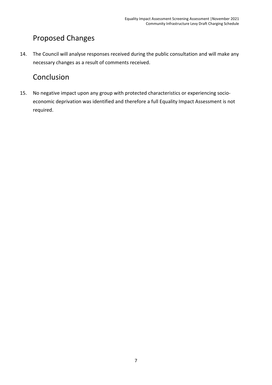### <span id="page-8-0"></span>Proposed Changes

14. The Council will analyse responses received during the public consultation and will make any necessary changes as a result of comments received.

#### <span id="page-8-1"></span>Conclusion

15. No negative impact upon any group with protected characteristics or experiencing socioeconomic deprivation was identified and therefore a full Equality Impact Assessment is not required.